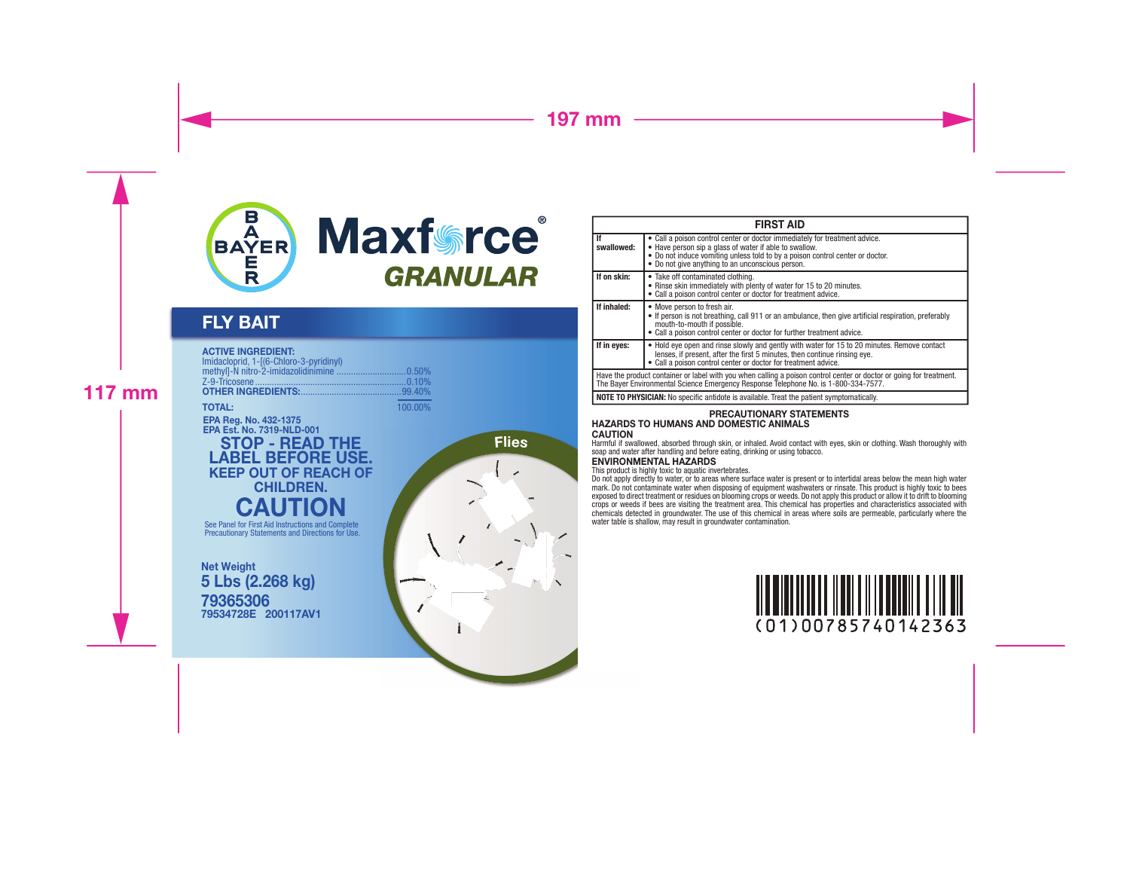

# FLY BAIT

### ACTIVE INGREDIENT:

| Imidacloprid. 1-[(6-Chloro-3-pyridinyl) |         |
|-----------------------------------------|---------|
|                                         |         |
| <b>TOTAL:</b>                           | 100 00% |

EPA Reg. No. 432-1375 EPA Est. No. 7319-NLD-001

## STOP - READ THE LABEL BEFORE USE. KEEP OUT OF REACH OF CHILDREN. **CAUTION**

See Panel for First Aid Instructions and Complete Precautionary Statements and Directions for Use.

79365306 79534728E 200117AV1 Net Weight 5 Lbs (2.268 kg)





| <b>FIRST AID</b>                                                                                                                                                                                           |                                                                                                                                                                                                                                                                           |  |  |  |
|------------------------------------------------------------------------------------------------------------------------------------------------------------------------------------------------------------|---------------------------------------------------------------------------------------------------------------------------------------------------------------------------------------------------------------------------------------------------------------------------|--|--|--|
| lf<br>swallowed:                                                                                                                                                                                           | • Call a poison control center or doctor immediately for treatment advice.<br>• Have person sip a glass of water if able to swallow.<br>• Do not induce vomiting unless told to by a poison control center or doctor.<br>• Do not give anything to an unconscious person. |  |  |  |
| If on skin:                                                                                                                                                                                                | • Take off contaminated clothing.<br>• Rinse skin immediately with plenty of water for 15 to 20 minutes.<br>• Call a poison control center or doctor for treatment advice.                                                                                                |  |  |  |
| If inhaled:                                                                                                                                                                                                | • Move person to fresh air.<br>• If person is not breathing, call 911 or an ambulance, then give artificial respiration, preferably<br>mouth-to-mouth if possible.<br>• Call a poison control center or doctor for further treatment advice.                              |  |  |  |
| If in eyes:                                                                                                                                                                                                | • Hold eye open and rinse slowly and gently with water for 15 to 20 minutes. Remove contact<br>lenses, if present, after the first 5 minutes, then continue rinsing eve.<br>• Call a poison control center or doctor for treatment advice.                                |  |  |  |
| Have the product container or label with you when calling a poison control center or doctor or going for treatment.<br>The Bayer Environmental Science Emergency Response Telephone No. is 1-800-334-7577. |                                                                                                                                                                                                                                                                           |  |  |  |
|                                                                                                                                                                                                            | <b>NOTE TO PHYSICIAN:</b> No specific antidote is available. Treat the patient symptomatically.                                                                                                                                                                           |  |  |  |

#### PRECAUTIONARY STATEMENTS HAZARDS TO HUMANS AND DOMESTIC ANIMALS **CAUTION**

Harmful if swallowed, absorbed through skin, or inhaled. Avoid contact with eyes, skin or clothing. Wash thoroughly with soap and water after handling and before eating, drinking or using tobacco.

### ENVIRONMENTAL HAZARDS

This product is highly toxic to aquatic invertebrates.

Do not apply directly to water, or to areas where surface water is present or to intertidal areas below the mean high water<br>mark. Do not contaminate water when disposing of equipment washwaters or rinsate. This product is chemicals detected in groundwater. The use of this chemical in areas where soils are permeable, particularly where the water table is shallow, may result in groundwater contamination.